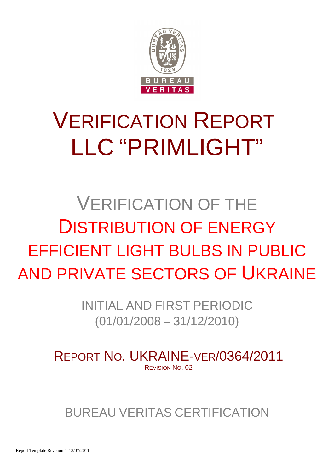

# VERIFICATION REPORT LLC "PRIMLIGHT"

# VERIFICATION OF THE DISTRIBUTION OF ENERGY EFFICIENT LIGHT BULBS IN PUBLIC AND PRIVATE SECTORS OF UKRAINE

INITIAL AND FIRST PERIODIC (01/01/2008 – 31/12/2010)

REPORT NO. UKRAINE-VER/0364/2011 REVISION NO. 02

BUREAU VERITAS CERTIFICATION

Report Template Revision 4, 13/07/2011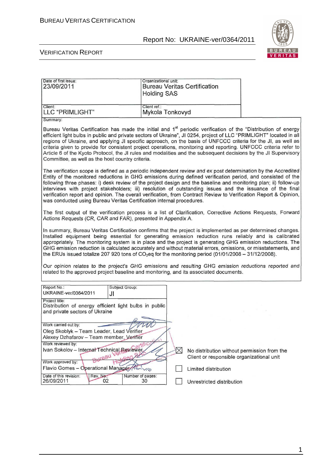

#### VERIFICATION REPORT

| Date of first issue:<br>23/09/2011                                                                                                                                                                                                                                                                                                                                                                                                                                                                                                                                                                                                                                       | Organizational unit:<br><b>Holding SAS</b> | <b>Bureau Veritas Certification</b>                                                      |  |
|--------------------------------------------------------------------------------------------------------------------------------------------------------------------------------------------------------------------------------------------------------------------------------------------------------------------------------------------------------------------------------------------------------------------------------------------------------------------------------------------------------------------------------------------------------------------------------------------------------------------------------------------------------------------------|--------------------------------------------|------------------------------------------------------------------------------------------|--|
| Client:<br>LLC "PRIMLIGHT"                                                                                                                                                                                                                                                                                                                                                                                                                                                                                                                                                                                                                                               | Client ref.:<br>Mykola Tonkovyd            |                                                                                          |  |
| Summary:<br>Bureau Veritas Certification has made the initial and 1 <sup>st</sup> periodic verification of the "Distribution of energy<br>efficient light bulbs in public and private sectors of Ukraine", JI 0254, project of LLC "PRIMLIGHT" located in all<br>regions of Ukraine, and applying JI specific approach, on the basis of UNFCCC criteria for the JI, as well as<br>criteria given to provide for consistent project operations, monitoring and reporting. UNFCCC criteria refer to<br>Article 6 of the Kyoto Protocol, the JI rules and modalities and the subsequent decisions by the JI Supervisory<br>Committee, as well as the host country criteria. |                                            |                                                                                          |  |
| The verification scope is defined as a periodic independent review and ex post determination by the Accredited<br>Entity of the monitored reductions in GHG emissions during defined verification period, and consisted of the<br>following three phases: i) desk review of the project design and the baseline and monitoring plan; ii) follow-up<br>interviews with project stakeholders; iii) resolution of outstanding issues and the issuance of the final<br>verification report and opinion. The overall verification, from Contract Review to Verification Report & Opinion,<br>was conducted using Bureau Veritas Certification internal procedures.            |                                            |                                                                                          |  |
| The first output of the verification process is a list of Clarification, Corrective Actions Requests, Forward<br>Actions Requests (CR, CAR and FAR), presented in Appendix A.                                                                                                                                                                                                                                                                                                                                                                                                                                                                                            |                                            |                                                                                          |  |
| In summary, Bureau Veritas Certification confirms that the project is implemented as per determined changes.<br>Installed equipment being essential for generating emission reduction runs reliably and is calibrated<br>appropriately. The monitoring system is in place and the project is generating GHG emission reductions. The<br>GHG emission reduction is calculated accurately and without material errors, omissions, or misstatements, and<br>the ERUs issued totalize 207 920 tons of $CO2$ eq for the monitoring period (01/01/2008 - 31/12/2008).                                                                                                          |                                            |                                                                                          |  |
| Our opinion relates to the project's GHG emissions and resulting GHG emission reductions reported and<br>related to the approved project baseline and monitoring, and its associated documents.                                                                                                                                                                                                                                                                                                                                                                                                                                                                          |                                            |                                                                                          |  |
| Report No.:<br>Subject Group:<br>UKRAINE-ver/0364/2011<br>JI                                                                                                                                                                                                                                                                                                                                                                                                                                                                                                                                                                                                             |                                            |                                                                                          |  |
| Project title:<br>Distribution of energy efficient light bulbs in public<br>and private sectors of Ukraine                                                                                                                                                                                                                                                                                                                                                                                                                                                                                                                                                               |                                            |                                                                                          |  |
| Work carried out by:<br>Oleg Skoblyk - Team Leader, Lead Verifier<br>Alexey Dzhafarov - Team member, Verifier                                                                                                                                                                                                                                                                                                                                                                                                                                                                                                                                                            |                                            |                                                                                          |  |
| Work reviewed by:<br>Ivan Sokolov - Internal Technical Reviewer<br>Work approved by:                                                                                                                                                                                                                                                                                                                                                                                                                                                                                                                                                                                     | $\boxtimes$                                | No distribution without permission from the<br>Client or responsible organizational unit |  |
| Flavio Gomes - Operational Manager<br>Date of this revision:<br>Rev. No.<br>26/09/2011<br>02                                                                                                                                                                                                                                                                                                                                                                                                                                                                                                                                                                             | $V$ lo<br>Number of pages:<br>30           | Limited distribution<br>Unrestricted distribution                                        |  |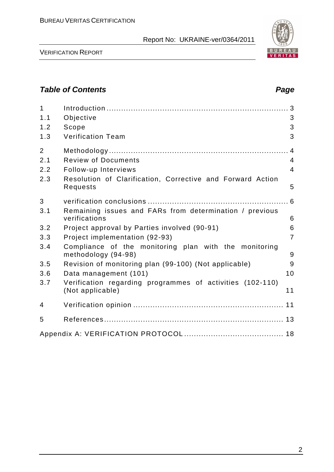

VERIFICATION REPORT

# **Table of Contents Page 2018**

| $\mathbf{1}$<br>1.1<br>1.2<br>1.3 | Objective<br>Scope<br><b>Verification Team</b>                                | 3<br>3<br>3    |
|-----------------------------------|-------------------------------------------------------------------------------|----------------|
| $\overline{2}$                    |                                                                               |                |
| 2.1                               | <b>Review of Documents</b>                                                    | 4              |
| 2.2                               | Follow-up Interviews                                                          | $\overline{4}$ |
| 2.3                               | Resolution of Clarification, Corrective and Forward Action<br>Requests        | 5              |
| 3                                 |                                                                               | .6             |
| 3.1                               | Remaining issues and FARs from determination / previous<br>verifications      | 6              |
| 3.2                               | Project approval by Parties involved (90-91)                                  | 6              |
| 3.3                               | Project implementation (92-93)                                                | $\overline{7}$ |
| 3.4                               | Compliance of the monitoring plan with the monitoring<br>methodology (94-98)  | 9              |
| 3.5                               | Revision of monitoring plan (99-100) (Not applicable)                         | 9              |
| 3.6                               | Data management (101)                                                         | 10             |
| 3.7                               | Verification regarding programmes of activities (102-110)<br>(Not applicable) | 11             |
| 4                                 |                                                                               |                |
| 5                                 |                                                                               |                |
|                                   |                                                                               |                |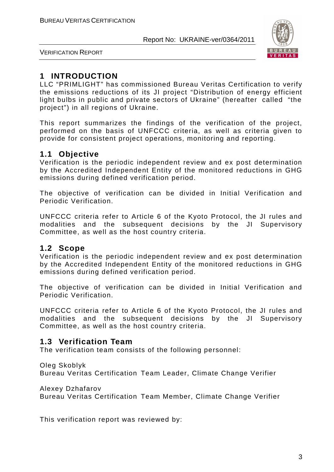

VERIFICATION REPORT

# **1 INTRODUCTION**

LLC "PRIMLIGHT" has commissioned Bureau Veritas Certification to verify the emissions reductions of its JI project "Distribution of energy efficient light bulbs in public and private sectors of Ukraine" (hereafter called "the project") in all regions of Ukraine.

This report summarizes the findings of the verification of the project, performed on the basis of UNFCCC criteria, as well as criteria given to provide for consistent project operations, monitoring and reporting.

# **1.1 Objective**

Verification is the periodic independent review and ex post determination by the Accredited Independent Entity of the monitored reductions in GHG emissions during defined verification period.

The objective of verification can be divided in Initial Verification and Periodic Verification.

UNFCCC criteria refer to Article 6 of the Kyoto Protocol, the JI rules and modalities and the subsequent decisions by the JI Supervisory Committee, as well as the host country criteria.

# **1.2 Scope**

Verification is the periodic independent review and ex post determination by the Accredited Independent Entity of the monitored reductions in GHG emissions during defined verification period.

The objective of verification can be divided in Initial Verification and Periodic Verification.

UNFCCC criteria refer to Article 6 of the Kyoto Protocol, the JI rules and modalities and the subsequent decisions by the JI Supervisory Committee, as well as the host country criteria.

# **1.3 Verification Team**

The verification team consists of the following personnel:

Oleg Skoblyk

Bureau Veritas Certification Team Leader, Climate Change Verifier

Alexey Dzhafarov

Bureau Veritas Certification Team Member, Climate Change Verifier

This verification report was reviewed by: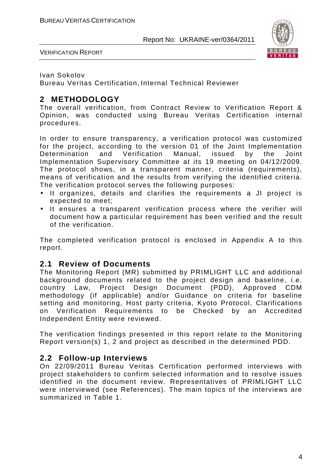

VERIFICATION REPORT

#### Ivan Sokolov

Bureau Veritas Certification, Internal Technical Reviewer

# **2 METHODOLOGY**

The overall verification, from Contract Review to Verification Report & Opinion, was conducted using Bureau Veritas Certification internal procedures.

In order to ensure transparency, a verification protocol was customized for the project, according to the version 01 of the Joint Implementation Determination and Verification Manual, issued by the Joint Implementation Supervisory Committee at its 19 meeting on 04/12/2009. The protocol shows, in a transparent manner, criteria (requirements), means of verification and the results from verifying the identified criteria. The verification protocol serves the following purposes:

- It organizes, details and clarifies the requirements a JI project is expected to meet;
- It ensures a transparent verification process where the verifier will document how a particular requirement has been verified and the result of the verification.

The completed verification protocol is enclosed in Appendix A to this report.

# **2.1 Review of Documents**

The Monitoring Report (MR) submitted by PRIMLIGHT LLC and additional background documents related to the project design and baseline, i.e. country Law, Project Design Document (PDD), Approved CDM methodology (if applicable) and/or Guidance on criteria for baseline setting and monitoring, Host party criteria, Kyoto Protocol, Clarifications on Verification Requirements to be Checked by an Accredited Independent Entity were reviewed.

The verification findings presented in this report relate to the Monitoring Report version(s) 1, 2 and project as described in the determined PDD.

# **2.2 Follow-up Interviews**

On 22/09/2011 Bureau Veritas Certification performed interviews with project stakeholders to confirm selected information and to resolve issues identified in the document review. Representatives of PRIMLIGHT LLC were interviewed (see References). The main topics of the interviews are summarized in Table 1.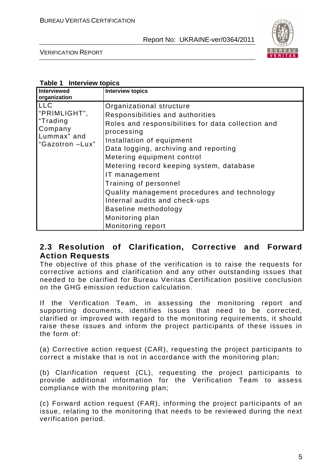

VERIFICATION REPORT

#### **Table 1 Interview topics**

| <b>Interviewed</b><br>organization                                                  | <b>Interview topics</b>                                                                                                                                                                                                                                                                                                                                                                                                                                                     |
|-------------------------------------------------------------------------------------|-----------------------------------------------------------------------------------------------------------------------------------------------------------------------------------------------------------------------------------------------------------------------------------------------------------------------------------------------------------------------------------------------------------------------------------------------------------------------------|
| <b>LLC</b><br>"PRIMLIGHT",<br>"Trading<br>Company<br>Lummax" and<br>"Gazotron -Lux" | Organizational structure<br>Responsibilities and authorities<br>Roles and responsibilities for data collection and<br>processing<br>Installation of equipment<br>Data logging, archiving and reporting<br>Metering equipment control<br>Metering record keeping system, database<br>IT management<br>Training of personnel<br>Quality management procedures and technology<br>Internal audits and check-ups<br>Baseline methodology<br>Monitoring plan<br>Monitoring report |

# **2.3 Resolution of Clarification, Corrective and Forward Action Requests**

The objective of this phase of the verification is to raise the requests for corrective actions and clarification and any other outstanding issues that needed to be clarified for Bureau Veritas Certification positive conclusion on the GHG emission reduction calculation.

If the Verification Team, in assessing the monitoring report and supporting documents, identifies issues that need to be corrected, clarified or improved with regard to the monitoring requirements, it should raise these issues and inform the project participants of these issues in the form of:

(a) Corrective action request (CAR), requesting the project participants to correct a mistake that is not in accordance with the monitoring plan;

(b) Clarification request (CL), requesting the project participants to provide additional information for the Verification Team to assess compliance with the monitoring plan;

(c) Forward action request (FAR), informing the project participants of an issue, relating to the monitoring that needs to be reviewed during the next verification period.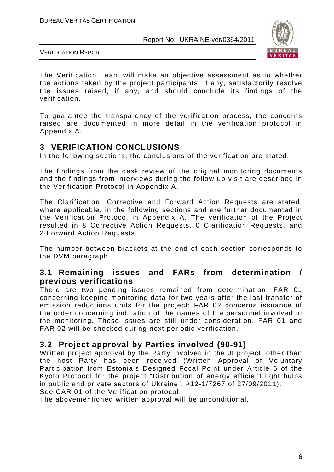

VERIFICATION REPORT

The Verification Team will make an objective assessment as to whether the actions taken by the project participants, if any, satisfactorily resolve the issues raised, if any, and should conclude its findings of the verification.

To guarantee the transparency of the verification process, the concerns raised are documented in more detail in the verification protocol in Appendix A.

# **3 VERIFICATION CONCLUSIONS**

In the following sections, the conclusions of the verification are stated.

The findings from the desk review of the original monitoring documents and the findings from interviews during the follow up visit are described in the Verification Protocol in Appendix A.

The Clarification, Corrective and Forward Action Requests are stated, where applicable, in the following sections and are further documented in the Verification Protocol in Appendix A. The verification of the Project resulted in 8 Corrective Action Requests, 0 Clarification Requests, and 2 Forward Action Requests.

The number between brackets at the end of each section corresponds to the DVM paragraph.

# **3.1 Remaining issues and FARs from determination / previous verifications**

There are two pending issues remained from determination: FAR 01 concerning keeping monitoring data for two years after the last transfer of emission reductions units for the project; FAR 02 concerns issuance of the order concerning indication of the names of the personnel involved in the monitoring. These issues are still under consideration. FAR 01 and FAR 02 will be checked during next periodic verification.

# **3.2 Project approval by Parties involved (90-91)**

Written project approval by the Party involved in the JI project, other than the host Party has been received (Written Approval of Voluntary Participation from Estonia's Designed Focal Point under Article 6 of the Kyoto Protocol for the project "Distribution of energy efficient light bulbs in public and private sectors of Ukraine", #12-1/7267 of 27/09/2011). See CAR 01 of the Verification protocol.

The abovementioned written approval will be unconditional.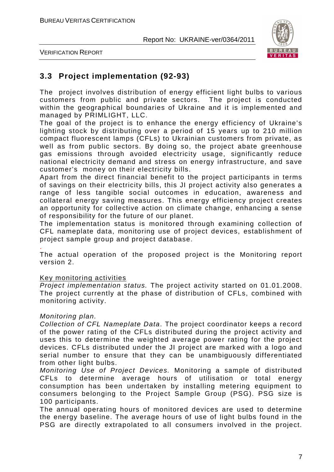

VERIFICATION REPORT

# **3.3 Project implementation (92-93)**

The project involves distribution of energy efficient light bulbs to various customers from public and private sectors. The project is conducted within the geographical boundaries of Ukraine and it is implemented and managed by PRIMLIGHT, LLC.

The goal of the project is to enhance the energy efficiency of Ukraine's lighting stock by distributing over a period of 15 years up to 210 million compact fluorescent lamps (CFLs) to Ukrainian customers from private, as well as from public sectors. By doing so, the project abate greenhouse gas emissions through avoided electricity usage, significantly reduce national electricity demand and stress on energy infrastructure, and save customer's money on their electricity bills.

Apart from the direct financial benefit to the project participants in terms of savings on their electricity bills, this JI project activity also generates a range of less tangible social outcomes in education, awareness and collateral energy saving measures. This energy efficiency project creates an opportunity for collective action on climate change, enhancing a sense of responsibility for the future of our planet.

The implementation status is monitored through examining collection of CFL nameplate data, monitoring use of project devices, establishment of project sample group and project database.

. The actual operation of the proposed project is the Monitoring report version 2.

#### Key monitoring activities

Project implementation status. The project activity started on 01.01.2008. The project currently at the phase of distribution of CFLs, combined with monitoring activity.

#### Monitoring plan.

Collection of CFL Nameplate Data. The project coordinator keeps a record of the power rating of the CFLs distributed during the project activity and uses this to determine the weighted average power rating for the project devices. CFLs distributed under the JI project are marked with a logo and serial number to ensure that they can be unambiguously differentiated from other light bulbs.

Monitoring Use of Project Devices. Monitoring a sample of distributed CFLs to determine average hours of utilisation or total energy consumption has been undertaken by installing metering equipment to consumers belonging to the Project Sample Group (PSG). PSG size is 100 participants.

The annual operating hours of monitored devices are used to determine the energy baseline. The average hours of use of light bulbs found in the PSG are directly extrapolated to all consumers involved in the project.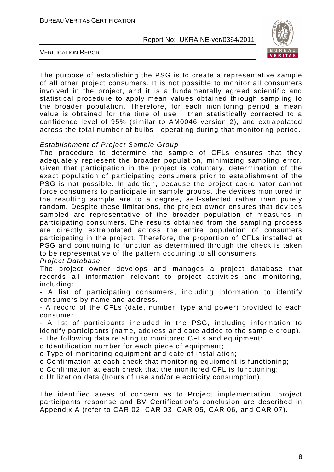

VERIFICATION REPORT

The purpose of establishing the PSG is to create a representative sample of all other project consumers. It is not possible to monitor all consumers involved in the project, and it is a fundamentally agreed scientific and statistical procedure to apply mean values obtained through sampling to the broader population. Therefore, for each monitoring period a mean value is obtained for the time of use then statistically corrected to a confidence level of 95% (similar to AM0046 version 2), and extrapolated across the total number of bulbs operating during that monitoring period.

#### Establishment of Project Sample Group

The procedure to determine the sample of CFLs ensures that they adequately represent the broader population, minimizing sampling error. Given that participation in the project is voluntary, determination of the exact population of participating consumers prior to establishment of the PSG is not possible. In addition, because the project coordinator cannot force consumers to participate in sample groups, the devices monitored in the resulting sample are to a degree, self-selected rather than purely random. Despite these limitations, the project owner ensures that devices sampled are representative of the broader population of measures in participating consumers. Еhe results obtained from the sampling process are directly extrapolated across the entire population of consumers participating in the project. Therefore, the proportion of CFLs installed at PSG and continuing to function as determined through the check is taken to be representative of the pattern occurring to all consumers.

Project Database

The project owner develops and manages a project database that records all information relevant to project activities and monitoring, including:

- A list of participating consumers, including information to identify consumers by name and address.

- A record of the CFLs (date, number, type and power) provided to each consumer.

- A list of participants included in the PSG, including information to identify participants (name, address and date added to the sample group).

- The following data relating to monitored CFLs and equipment:

o Identification number for each piece of equipment;

o Type of monitoring equipment and date of installation;

o Confirmation at each check that monitoring equipment is functioning;

o Confirmation at each check that the monitored CFL is functioning;

o Utilization data (hours of use and/or electricity consumption).

The identified areas of concern as to Project implementation, project participants response and BV Certification's conclusion are described in Appendix A (refer to CAR 02, CAR 03, CAR 05, CAR 06, and CAR 07).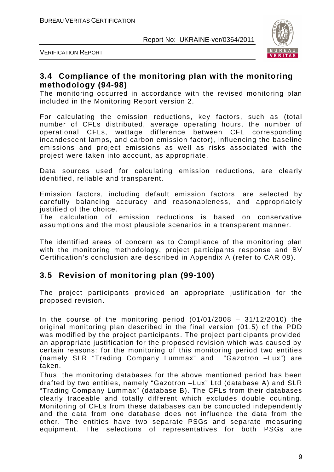

VERIFICATION REPORT

# **3.4 Compliance of the monitoring plan with the monitoring methodology (94-98)**

The monitoring occurred in accordance with the revised monitoring plan included in the Monitoring Report version 2.

For calculating the emission reductions, key factors, such as (total number of CFLs distributed, average operating hours, the number of operational CFLs, wattage difference between CFL corresponding incandescent lamps, and carbon emission factor), influencing the baseline emissions and project emissions as well as risks associated with the project were taken into account, as appropriate.

Data sources used for calculating emission reductions, are clearly identified, reliable and transparent.

Emission factors, including default emission factors, are selected by carefully balancing accuracy and reasonableness, and appropriately justified of the choice.

The calculation of emission reductions is based on conservative assumptions and the most plausible scenarios in a transparent manner.

The identified areas of concern as to Compliance of the monitoring plan with the monitoring methodology, project participants response and BV Certification's conclusion are described in Appendix A (refer to CAR 08).

# **3.5 Revision of monitoring plan (99-100)**

The project participants provided an appropriate justification for the proposed revision.

In the course of the monitoring period  $(01/01/2008 - 31/12/2010)$  the original monitoring plan described in the final version (01.5) of the PDD was modified by the project participants. The project participants provided an appropriate justification for the proposed revision which was caused by certain reasons: for the monitoring of this monitoring period two entities (namely SLR "Trading Company Lummax" and "Gazotron –Lux") are taken.

Thus, the monitoring databases for the above mentioned period has been drafted by two entities, namely "Gazotron –Lux" Ltd (database A) and SLR "Trading Company Lummax" (database B). The CFLs from their databases clearly traceable and totally different which excludes double counting. Monitoring of CFLs from these databases can be conducted independently and the data from one database does not influence the data from the other. The entities have two separate PSGs and separate measuring equipment. The selections of representatives for both PSGs are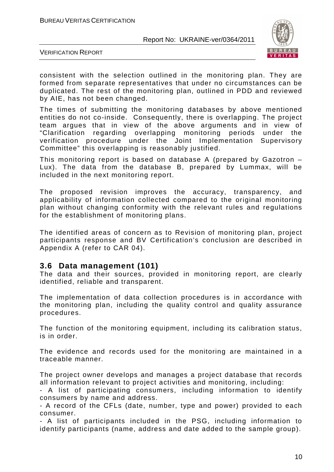

VERIFICATION REPORT

consistent with the selection outlined in the monitoring plan. They are formed from separate representatives that under no circumstances can be duplicated. The rest of the monitoring plan, outlined in PDD and reviewed by AIE, has not been changed.

The times of submitting the monitoring databases by above mentioned entities do not co-inside. Consequently, there is overlapping. The project team argues that in view of the above arguments and in view of "Clarification regarding overlapping monitoring periods under the verification procedure under the Joint Implementation Supervisory Committee" this overlapping is reasonably justified.

This monitoring report is based on database A (prepared by Gazotron – Lux). The data from the database B, prepared by Lummax, will be included in the next monitoring report.

The proposed revision improves the accuracy, transparency, and applicability of information collected compared to the original monitoring plan without changing conformity with the relevant rules and regulations for the establishment of monitoring plans.

The identified areas of concern as to Revision of monitoring plan, project participants response and BV Certification's conclusion are described in Appendix A (refer to CAR 04).

# **3.6 Data management (101)**

The data and their sources, provided in monitoring report, are clearly identified, reliable and transparent.

The implementation of data collection procedures is in accordance with the monitoring plan, including the quality control and quality assurance procedures.

The function of the monitoring equipment, including its calibration status, is in order.

The evidence and records used for the monitoring are maintained in a traceable manner.

The project owner develops and manages a project database that records all information relevant to project activities and monitoring, including:

- A list of participating consumers, including information to identify consumers by name and address.

- A record of the CFLs (date, number, type and power) provided to each consumer.

- A list of participants included in the PSG, including information to identify participants (name, address and date added to the sample group).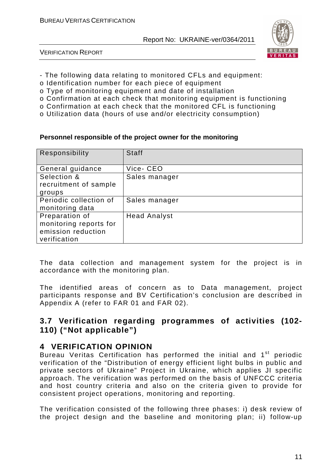

VERIFICATION REPORT

- The following data relating to monitored CFLs and equipment:
- o Identification number for each piece of equipment
- o Type of monitoring equipment and date of installation
- o Confirmation at each check that monitoring equipment is functioning
- o Confirmation at each check that the monitored CFL is functioning
- o Utilization data (hours of use and/or electricity consumption)

#### **Personnel responsible of the project owner for the monitoring**

| Responsibility                            | <b>Staff</b>        |
|-------------------------------------------|---------------------|
| General guidance                          | Vice-CEO            |
| Selection &                               | Sales manager       |
| recruitment of sample                     |                     |
| groups                                    |                     |
| Periodic collection of<br>monitoring data | Sales manager       |
| Preparation of                            | <b>Head Analyst</b> |
| monitoring reports for                    |                     |
| emission reduction                        |                     |
| verification                              |                     |

The data collection and management system for the project is in accordance with the monitoring plan.

The identified areas of concern as to Data management, project participants response and BV Certification's conclusion are described in Appendix A (refer to FAR 01 and FAR 02).

# **3.7 Verification regarding programmes of activities (102- 110) ("Not applicable")**

# **4 VERIFICATION OPINION**

Bureau Veritas Certification has performed the initial and 1<sup>st</sup> periodic verification of the "Distribution of energy efficient light bulbs in public and private sectors of Ukraine" Project in Ukraine, which applies JI specific approach. The verification was performed on the basis of UNFCCC criteria and host country criteria and also on the criteria given to provide for consistent project operations, monitoring and reporting.

The verification consisted of the following three phases: i) desk review of the project design and the baseline and monitoring plan; ii) follow-up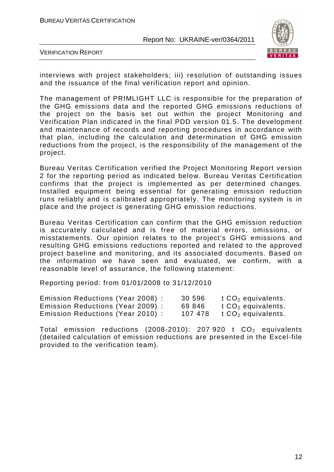

VERIFICATION REPORT

interviews with project stakeholders; iii) resolution of outstanding issues and the issuance of the final verification report and opinion.

The management of PRIMLIGHT LLC is responsible for the preparation of the GHG emissions data and the reported GHG emissions reductions of the project on the basis set out within the project Monitoring and Verification Plan indicated in the final PDD version 01.5. The development and maintenance of records and reporting procedures in accordance with that plan, including the calculation and determination of GHG emission reductions from the project, is the responsibility of the management of the project.

Bureau Veritas Certification verified the Project Monitoring Report version 2 for the reporting period as indicated below. Bureau Veritas Certification confirms that the project is implemented as per determined changes. Installed equipment being essential for generating emission reduction runs reliably and is calibrated appropriately. The monitoring system is in place and the project is generating GHG emission reductions.

Bureau Veritas Certification can confirm that the GHG emission reduction is accurately calculated and is free of material errors, omissions, or misstatements. Our opinion relates to the project's GHG emissions and resulting GHG emissions reductions reported and related to the approved project baseline and monitoring, and its associated documents. Based on the information we have seen and evaluated, we confirm, with a reasonable level of assurance, the following statement:

Reporting period: from 01/01/2008 to 31/12/2010

| Emission Reductions (Year 2008) : | 30 596  | t $CO2$ equivalents. |
|-----------------------------------|---------|----------------------|
| Emission Reductions (Year 2009):  | 69 846  | t $CO2$ equivalents. |
| Emission Reductions (Year 2010):  | 107 478 | t $CO2$ equivalents. |

Total emission reductions (2008-2010): 207 920 t  $CO<sub>2</sub>$  equivalents (detailed calculation of emission reductions are presented in the Excel-file provided to the verification team).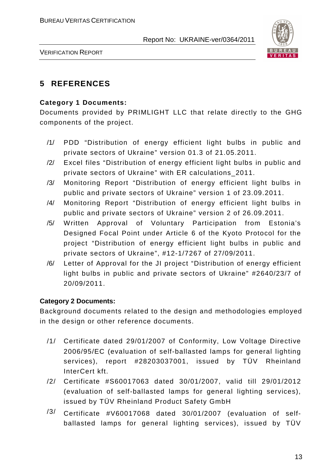

VERIFICATION REPORT

# **5 REFERENCES**

# **Category 1 Documents:**

Documents provided by PRIMLIGHT LLC that relate directly to the GHG components of the project.

- /1/ PDD "Distribution of energy efficient light bulbs in public and private sectors of Ukraine" version 01.3 of 21.05.2011.
- /2/ Excel files "Distribution of energy efficient light bulbs in public and private sectors of Ukraine" with ER calculations\_2011.
- /3/ Monitoring Report "Distribution of energy efficient light bulbs in public and private sectors of Ukraine" version 1 of 23.09.2011.
- /4/ Monitoring Report "Distribution of energy efficient light bulbs in public and private sectors of Ukraine" version 2 of 26.09.2011.
- /5/ Written Approval of Voluntary Participation from Estonia's Designed Focal Point under Article 6 of the Kyoto Protocol for the project "Distribution of energy efficient light bulbs in public and private sectors of Ukraine", #12-1/7267 of 27/09/2011.
- /6/ Letter of Approval for the JI project "Distribution of energy efficient light bulbs in public and private sectors of Ukraine" #2640/23/7 of 20/09/2011.

# **Category 2 Documents:**

Background documents related to the design and methodologies employed in the design or other reference documents.

- /1/ Certificate dated 29/01/2007 of Conformity, Low Voltage Directive 2006/95/EC (evaluation of self-ballasted lamps for general lighting services), report #28203037001, issued by TÜV Rheinland InterCert kft.
- /2/ Certificate #S60017063 dated 30/01/2007, valid till 29/01/2012 (evaluation of self-ballasted lamps for general lighting services), issued by TÜV Rheinland Product Safety GmbH
- /3/ Certificate #V60017068 dated 30/01/2007 (evaluation of selfballasted lamps for general lighting services), issued by TÜV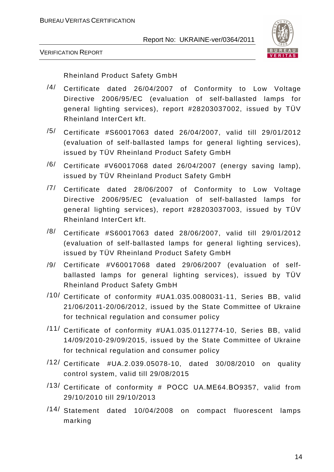

VERIFICATION REPORT

Rheinland Product Safety GmbH

- /4/ Certificate dated 26/04/2007 of Conformity to Low Voltage Directive 2006/95/EC (evaluation of self-ballasted lamps for general lighting services), report #28203037002, issued by TÜV Rheinland InterCert kft.
- /5/ Certificate #S60017063 dated 26/04/2007, valid till 29/01/2012 (evaluation of self-ballasted lamps for general lighting services), issued by TÜV Rheinland Product Safety GmbH
- $/6/$  Certificate #V60017068 dated 26/04/2007 (energy saving lamp), issued by TÜV Rheinland Product Safety GmbH
- /7/ Certificate dated 28/06/2007 of Conformity to Low Voltage Directive 2006/95/EC (evaluation of self-ballasted lamps for general lighting services), report #28203037003, issued by TÜV Rheinland InterCert kft.
- /8/ Certificate #S60017063 dated 28/06/2007, valid till 29/01/2012 (evaluation of self-ballasted lamps for general lighting services), issued by TÜV Rheinland Product Safety GmbH
- /9/ Certificate #V60017068 dated 29/06/2007 (evaluation of selfballasted lamps for general lighting services), issued by TÜV Rheinland Product Safety GmbH
- /10/ Certificate of conformity #UA1.035.0080031-11, Series BB, valid 21/06/2011-20/06/2012, issued by the State Committee of Ukraine for technical regulation and consumer policy
- /11/ Certificate of conformity #UA1.035.0112774-10, Series BB, valid 14/09/2010-29/09/2015, issued by the State Committee of Ukraine for technical regulation and consumer policy
- /12/ Certificate #UA.2.039.05078-10, dated 30/08/2010 on quality control system, valid till 29/08/2015
- /13/ Certificate of conformity # РОСС UA.МЕ64.ВО9357, valid from 29/10/2010 till 29/10/2013
- /14/ Statement dated 10/04/2008 on compact fluorescent lamps marking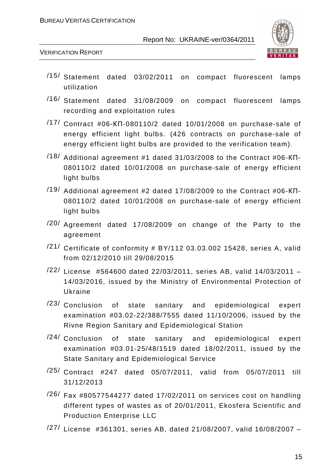

VERIFICATION REPORT

- /15/ Statement dated 03/02/2011 on compact fluorescent lamps utilization
- /16/ Statement dated 31/08/2009 on compact fluorescent lamps recording and exploitation rules
- /17/ Contract #06-КП-080110/2 dated 10/01/2008 on purchase-sale of energy efficient light bulbs. (426 contracts on purchase-sale of energy efficient light bulbs are provided to the verification team).
- $/18/$  Additional agreement #1 dated 31/03/2008 to the Contract #06-KN-080110/2 dated 10/01/2008 on purchase-sale of energy efficient light bulbs
- /19/ Additional agreement #2 dated 17/08/2009 to the Contract #06-КП-080110/2 dated 10/01/2008 on purchase-sale of energy efficient light bulbs
- /20/ Agreement dated 17/08/2009 on change of the Party to the agreement
- $/21/$  Certificate of conformity # BY/112 03.03.002 15428, series A, valid from 02/12/2010 till 29/08/2015
- /22/ License #564600 dated 22/03/2011, series AB, valid 14/03/2011 14/03/2016, issued by the Ministry of Environmental Protection of Ukraine
- /23/ Conclusion of state sanitary and epidemiological expert examination #03.02-22/388/7555 dated 11/10/2006, issued by the Rivne Region Sanitary and Epidemiological Station
- $/24/$  Conclusion of state sanitary and epidemiological expert examination #03.01-25/48/1519 dated 18/02/2011, issued by the State Sanitary and Epidemiological Service
- /25/ Contract #247 dated 05/07/2011, valid from 05/07/2011 till 31/12/2013
- $/26/$  Fax #80577544277 dated 17/02/2011 on services cost on handling different types of wastes as of 20/01/2011, Ekosfera Scientific and Production Enterprise LLC
- /27/ License #361301, series AB, dated 21/08/2007, valid 16/08/2007 –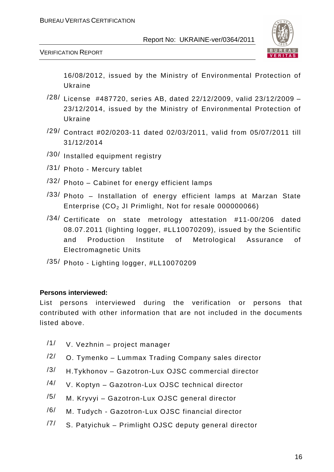

VERIFICATION REPORT

16/08/2012, issued by the Ministry of Environmental Protection of Ukraine

- $/28/$  License #487720, series AB, dated 22/12/2009, valid 23/12/2009 -23/12/2014, issued by the Ministry of Environmental Protection of Ukraine
- /29/ Contract #02/0203-11 dated 02/03/2011, valid from 05/07/2011 till 31/12/2014
- /30/ Installed equipment registry
- /31/ Photo Mercury tablet
- /32/ Photo Cabinet for energy efficient lamps
- /33/ Photo Installation of energy efficient lamps at Marzan State Enterprise  $(CO<sub>2</sub>$  JI Primlight, Not for resale 000000066)
- /34/ Certificate on state metrology attestation #11-00/206 dated 08.07.2011 (lighting logger, #LL10070209), issued by the Scientific and Production Institute of Metrological Assurance of Electromagnetic Units
- /35/ Photo Lighting logger, #LL10070209

#### **Persons interviewed:**

List persons interviewed during the verification or persons that contributed with other information that are not included in the documents listed above.

- /1/ V. Vezhnin project manager
- $/2/$  O. Tymenko Lummax Trading Company sales director
- $/3/$  H.Tykhonov Gazotron-Lux OJSC commercial director
- /4/ V. Koptyn Gazotron-Lux OJSC technical director
- /5/ M. Kryvyi Gazotron-Lux OJSC general director
- /6/ M. Tudych Gazotron-Lux OJSC financial director
- /7/ S. Patyichuk Primlight OJSC deputy general director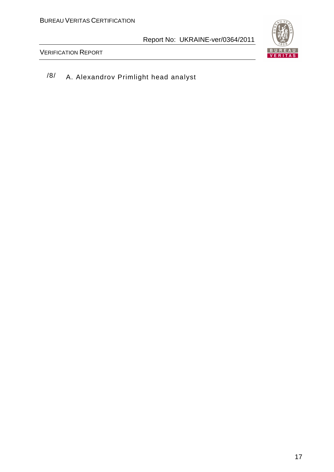

VERIFICATION REPORT

/8/ A. Alexandrov Primlight head analyst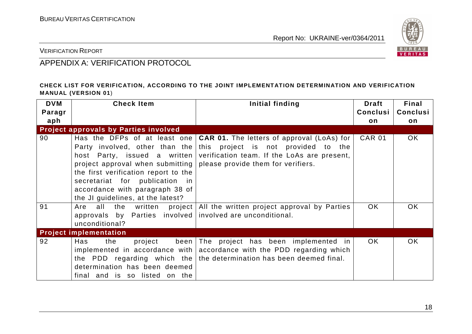

VERIFICATION REPORT

# APPENDIX A: VERIFICATION PROTOCOL

#### **CHECK LIST FOR VERIFICATION, ACCORDING TO THE JOINT IMPLEMENTATION DETERMINATION AND VERIFICATION MANUAL (VERSION 01**)

| <b>DVM</b><br>Paragr<br>aph | <b>Check Item</b>                                                                                                                                                                                                       | Initial finding                                                                                                                                                                                                             | <b>Draft</b><br>Conclusi<br>on | Final<br>Conclusi<br>on |
|-----------------------------|-------------------------------------------------------------------------------------------------------------------------------------------------------------------------------------------------------------------------|-----------------------------------------------------------------------------------------------------------------------------------------------------------------------------------------------------------------------------|--------------------------------|-------------------------|
|                             | <b>Project approvals by Parties involved</b>                                                                                                                                                                            |                                                                                                                                                                                                                             |                                |                         |
| 90                          | project approval when submitting   please provide them for verifiers.<br>the first verification report to the<br>secretariat for publication in<br>accordance with paragraph 38 of<br>the JI guidelines, at the latest? | Has the DFPs of at least one   CAR 01. The letters of approval (LoAs) for<br>Party involved, other than the this project is not provided to the<br>host Party, issued a written verification team. If the LoAs are present, | <b>CAR 01</b>                  | <b>OK</b>               |
| 91                          | all<br>the<br>Are<br>approvals by Parties involved involved are unconditional.<br>unconditional?                                                                                                                        | written project   All the written project approval by Parties                                                                                                                                                               | OK.                            | <b>OK</b>               |
|                             | <b>Project implementation</b>                                                                                                                                                                                           |                                                                                                                                                                                                                             |                                |                         |
| 92                          | the<br>Has<br>project<br>determination has been deemed<br>final and is so listed on the                                                                                                                                 | been The project has been implemented in<br>implemented in accordance with accordance with the PDD regarding which<br>the PDD regarding which the the determination has been deemed final.                                  | <b>OK</b>                      | OK.                     |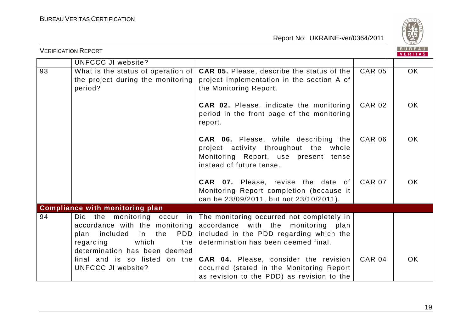

|    | <b>VERIFICATION REPORT</b>                                                                                                                                                     |                                                                                                                                                                        |               |           |
|----|--------------------------------------------------------------------------------------------------------------------------------------------------------------------------------|------------------------------------------------------------------------------------------------------------------------------------------------------------------------|---------------|-----------|
|    | <b>UNFCCC JI website?</b>                                                                                                                                                      |                                                                                                                                                                        |               |           |
| 93 | What is the status of operation of<br>the project during the monitoring<br>period?                                                                                             | <b>CAR 05.</b> Please, describe the status of the<br>project implementation in the section A of<br>the Monitoring Report.                                              | <b>CAR 05</b> | OK        |
|    |                                                                                                                                                                                | <b>CAR 02.</b> Please, indicate the monitoring<br>period in the front page of the monitoring<br>report.                                                                | <b>CAR 02</b> | <b>OK</b> |
|    |                                                                                                                                                                                | <b>CAR 06.</b> Please, while describing the<br>project activity throughout the whole<br>Monitoring Report, use present tense<br>instead of future tense.               | <b>CAR 06</b> | OK.       |
|    |                                                                                                                                                                                | <b>CAR 07.</b> Please, revise the date of<br>Monitoring Report completion (because it<br>can be 23/09/2011, but not 23/10/2011).                                       | <b>CAR 07</b> | OK.       |
|    | <b>Compliance with monitoring plan</b>                                                                                                                                         |                                                                                                                                                                        |               |           |
| 94 | monitoring occur in<br>the<br>Did.<br>accordance with the monitoring<br><b>PDD</b><br>included<br>in the<br>plan<br>which<br>regarding<br>the<br>determination has been deemed | The monitoring occurred not completely in<br>accordance with the monitoring<br>plan<br>included in the PDD regarding which the<br>determination has been deemed final. |               |           |
|    | final and is so listed on the<br><b>UNFCCC JI website?</b>                                                                                                                     | <b>CAR 04.</b> Please, consider the revision<br>occurred (stated in the Monitoring Report<br>as revision to the PDD) as revision to the                                | <b>CAR 04</b> | <b>OK</b> |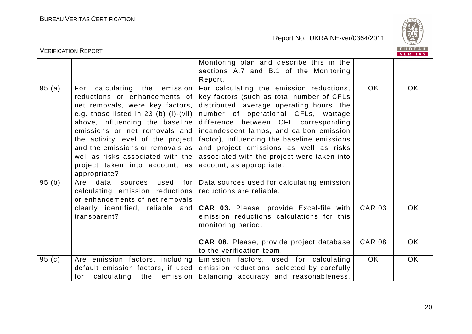

|       | <b>VERIFICATION REPORT</b>                                                                                                                                                                                                                                                                                                                                                      |                                                                                                                                                                                                                                                                                                                                                                                                                                  |                                | <b>BUREAU</b><br>VERITAS |
|-------|---------------------------------------------------------------------------------------------------------------------------------------------------------------------------------------------------------------------------------------------------------------------------------------------------------------------------------------------------------------------------------|----------------------------------------------------------------------------------------------------------------------------------------------------------------------------------------------------------------------------------------------------------------------------------------------------------------------------------------------------------------------------------------------------------------------------------|--------------------------------|--------------------------|
|       |                                                                                                                                                                                                                                                                                                                                                                                 | Monitoring plan and describe this in the<br>sections A.7 and B.1 of the Monitoring<br>Report.                                                                                                                                                                                                                                                                                                                                    |                                |                          |
| 95(a) | For calculating the emission<br>reductions or enhancements of<br>net removals, were key factors,<br>e.g. those listed in $23$ (b) (i)-(vii)<br>above, influencing the baseline<br>emissions or net removals and<br>the activity level of the project<br>and the emissions or removals as<br>well as risks associated with the<br>project taken into account, as<br>appropriate? | For calculating the emission reductions,<br>key factors (such as total number of CFLs<br>distributed, average operating hours, the<br>number of operational CFLs, wattage<br>difference between CFL corresponding<br>incandescent lamps, and carbon emission<br>factor), influencing the baseline emissions<br>and project emissions as well as risks<br>associated with the project were taken into<br>account, as appropriate. | <b>OK</b>                      | OK                       |
| 95(b) | data<br>used<br>Are<br>sources<br>for  <br>calculating emission reductions<br>or enhancements of net removals<br>clearly identified, reliable and<br>transparent?                                                                                                                                                                                                               | Data sources used for calculating emission<br>reductions are reliable.<br><b>CAR 03.</b> Please, provide Excel-file with<br>emission reductions calculations for this<br>monitoring period.<br><b>CAR 08.</b> Please, provide project database                                                                                                                                                                                   | <b>CAR 03</b><br><b>CAR 08</b> | OK.<br>OK.               |
|       |                                                                                                                                                                                                                                                                                                                                                                                 | to the verification team.                                                                                                                                                                                                                                                                                                                                                                                                        |                                |                          |
| 95(c) | Are emission factors, including<br>default emission factors, if used<br>calculating the emission<br>for                                                                                                                                                                                                                                                                         | Emission factors, used for calculating<br>emission reductions, selected by carefully<br>balancing accuracy and reasonableness,                                                                                                                                                                                                                                                                                                   | OK                             | <b>OK</b>                |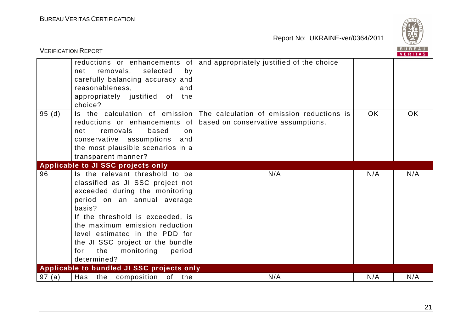

|       | <b>VERIFICATION REPORT</b>                                                                                                                                                                                                                                                                                                                      |                                                                                 |           | <b>BUREAU</b><br><b>VERITAS</b> |
|-------|-------------------------------------------------------------------------------------------------------------------------------------------------------------------------------------------------------------------------------------------------------------------------------------------------------------------------------------------------|---------------------------------------------------------------------------------|-----------|---------------------------------|
|       | reductions or enhancements of<br>removals,<br>selected<br>by<br>net<br>carefully balancing accuracy and<br>reasonableness,<br>and<br>appropriately justified of the<br>choice?                                                                                                                                                                  | and appropriately justified of the choice                                       |           |                                 |
| 95(d) | Is the calculation of emission<br>reductions or enhancements of<br>based<br>removals<br>net<br>$\Omega$<br>conservative assumptions<br>and<br>the most plausible scenarios in a<br>transparent manner?                                                                                                                                          | The calculation of emission reductions is<br>based on conservative assumptions. | <b>OK</b> | <b>OK</b>                       |
|       | Applicable to JI SSC projects only                                                                                                                                                                                                                                                                                                              |                                                                                 |           |                                 |
| 96    | Is the relevant threshold to be<br>classified as JI SSC project not<br>exceeded during the monitoring<br>period on an annual average<br>basis?<br>If the threshold is exceeded, is<br>the maximum emission reduction<br>level estimated in the PDD for<br>the JI SSC project or the bundle<br>the<br>period<br>for<br>monitoring<br>determined? | N/A                                                                             | N/A       | N/A                             |
|       | Applicable to bundled JI SSC projects only                                                                                                                                                                                                                                                                                                      |                                                                                 |           |                                 |
| 97(a) | Has the composition<br>of the                                                                                                                                                                                                                                                                                                                   | N/A                                                                             | N/A       | N/A                             |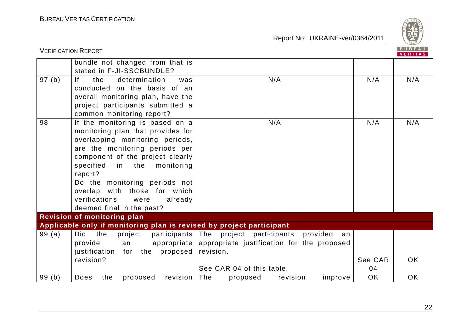

|       | <b>VERIFICATION REPORT</b>                                           |                                                         |           | B U R E A U<br>VERITAS |
|-------|----------------------------------------------------------------------|---------------------------------------------------------|-----------|------------------------|
|       | bundle not changed from that is                                      |                                                         |           |                        |
|       | stated in F-JI-SSCBUNDLE?                                            |                                                         |           |                        |
| 97(b) | f <br>the<br>determination<br>was                                    | N/A                                                     | N/A       | N/A                    |
|       | conducted on the basis of an                                         |                                                         |           |                        |
|       | overall monitoring plan, have the                                    |                                                         |           |                        |
|       | project participants submitted a                                     |                                                         |           |                        |
|       | common monitoring report?                                            |                                                         |           |                        |
| 98    | If the monitoring is based on a                                      | N/A                                                     | N/A       | N/A                    |
|       | monitoring plan that provides for                                    |                                                         |           |                        |
|       | overlapping monitoring periods,                                      |                                                         |           |                        |
|       | are the monitoring periods per                                       |                                                         |           |                        |
|       | component of the project clearly                                     |                                                         |           |                        |
|       | specified<br>in the<br>monitoring                                    |                                                         |           |                        |
|       | report?                                                              |                                                         |           |                        |
|       | Do the monitoring periods not                                        |                                                         |           |                        |
|       | overlap with those for which                                         |                                                         |           |                        |
|       | verifications<br>were<br>already                                     |                                                         |           |                        |
|       | deemed final in the past?                                            |                                                         |           |                        |
|       | Revision of monitoring plan                                          |                                                         |           |                        |
|       | Applicable only if monitoring plan is revised by project participant |                                                         |           |                        |
| 99(a) | Did<br>the<br>project                                                | participants The project participants<br>provided<br>an |           |                        |
|       | provide<br>an                                                        | appropriate appropriate justification for the proposed  |           |                        |
|       | justification for the proposed                                       | revision.                                               |           |                        |
|       | revision?                                                            |                                                         | See CAR   | <b>OK</b>              |
|       |                                                                      | See CAR 04 of this table.                               | 04        |                        |
| 99(b) | Does<br>the<br>revision<br>proposed                                  | The<br>revision<br>proposed<br>improve                  | <b>OK</b> | <b>OK</b>              |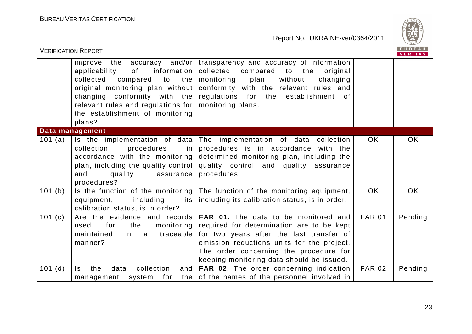

| <b>VERIFICATION REPORT</b>                                                                                                                                                                                                                                          |                                                                                                                                                                                                                                                                    |               | <b>BUREAU</b><br><b>VERITAS</b> |
|---------------------------------------------------------------------------------------------------------------------------------------------------------------------------------------------------------------------------------------------------------------------|--------------------------------------------------------------------------------------------------------------------------------------------------------------------------------------------------------------------------------------------------------------------|---------------|---------------------------------|
| $accuracy$ and/or<br>improve the<br>applicability<br>of<br>information<br>collected<br>compared<br>to<br>the<br>original monitoring plan without<br>changing conformity with the<br>relevant rules and regulations for<br>the establishment of monitoring<br>plans? | transparency and accuracy of information<br>collected<br>compared<br>to the<br>original<br>plan<br>without<br>monitoring<br>changing<br>conformity with the relevant rules and<br>regulations for the establishment of<br>monitoring plans.                        |               |                                 |
| Data management                                                                                                                                                                                                                                                     |                                                                                                                                                                                                                                                                    |               |                                 |
| Is the implementation of data<br>101 $(a)$<br>collection<br>procedures<br>in<br>accordance with the monitoring<br>plan, including the quality control<br>quality<br>and<br>assurance<br>procedures?                                                                 | The implementation of data collection<br>procedures is in accordance with the<br>determined monitoring plan, including the<br>quality control and quality assurance<br>procedures.                                                                                 | OK            | OK                              |
| 101(b)<br>Is the function of the monitoring<br>equipment,<br>including<br>its<br>calibration status, is in order?                                                                                                                                                   | The function of the monitoring equipment,<br>including its calibration status, is in order.                                                                                                                                                                        | <b>OK</b>     | OK                              |
| 101(c)<br>Are the evidence and records<br>for<br>the<br>monitoring<br>used<br>traceable<br>maintained<br>in a<br>manner?                                                                                                                                            | FAR 01. The data to be monitored and<br>required for determination are to be kept<br>for two years after the last transfer of<br>emission reductions units for the project.<br>The order concerning the procedure for<br>keeping monitoring data should be issued. | <b>FAR 01</b> | Pending                         |
| collection<br>and<br>101(d)<br>$\mathsf{ls}$<br>the<br>data<br>system<br>for<br>the  <br>management                                                                                                                                                                 | FAR 02. The order concerning indication<br>of the names of the personnel involved in                                                                                                                                                                               | <b>FAR 02</b> | Pending                         |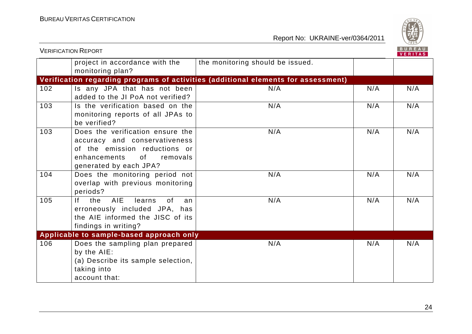

|     | <b>VERIFICATION REPORT</b>                                                                                                                                                                                                                                                  |                                                                                    |     |     |  |
|-----|-----------------------------------------------------------------------------------------------------------------------------------------------------------------------------------------------------------------------------------------------------------------------------|------------------------------------------------------------------------------------|-----|-----|--|
|     | project in accordance with the<br>monitoring plan?                                                                                                                                                                                                                          | the monitoring should be issued.                                                   |     |     |  |
|     |                                                                                                                                                                                                                                                                             | Verification regarding programs of activities (additional elements for assessment) |     |     |  |
| 102 | Is any JPA that has not been<br>added to the JI PoA not verified?                                                                                                                                                                                                           | N/A                                                                                | N/A | N/A |  |
| 103 | Is the verification based on the<br>monitoring reports of all JPAs to<br>be verified?                                                                                                                                                                                       | N/A                                                                                | N/A | N/A |  |
| 103 | Does the verification ensure the<br>accuracy and conservativeness<br>of the emission reductions or<br>enhancements<br>of the contract of the contract of the contract of the contract of the contract of the contract of the contract<br>removals<br>generated by each JPA? | N/A                                                                                | N/A | N/A |  |
| 104 | Does the monitoring period not<br>overlap with previous monitoring<br>periods?                                                                                                                                                                                              | N/A                                                                                | N/A | N/A |  |
| 105 | If the AIE<br>learns<br>0f<br>an<br>erroneously included JPA, has<br>the AIE informed the JISC of its<br>findings in writing?                                                                                                                                               | N/A                                                                                | N/A | N/A |  |
|     | Applicable to sample-based approach only                                                                                                                                                                                                                                    |                                                                                    |     |     |  |
| 106 | Does the sampling plan prepared<br>by the AIE:<br>(a) Describe its sample selection,<br>taking into<br>account that:                                                                                                                                                        | N/A                                                                                | N/A | N/A |  |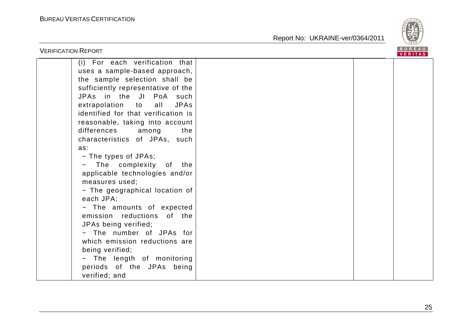

| <b>VERIFICATION REPORT</b>                                                                                                                                                                                                                                                                                                                                                                                                                                                                                                                                                                                                                                                                                           |  | <b>BUREAU</b><br><b>VERITAS</b> |
|----------------------------------------------------------------------------------------------------------------------------------------------------------------------------------------------------------------------------------------------------------------------------------------------------------------------------------------------------------------------------------------------------------------------------------------------------------------------------------------------------------------------------------------------------------------------------------------------------------------------------------------------------------------------------------------------------------------------|--|---------------------------------|
| (i) For each verification that<br>uses a sample-based approach,<br>the sample selection shall be<br>sufficiently representative of the<br>JPAs in the JI PoA such<br><b>JPAs</b><br>extrapolation to<br>all<br>identified for that verification is<br>reasonable, taking into account<br>differences<br>the<br>among<br>characteristics of JPAs, such<br>as:<br>- The types of JPAs;<br>The complexity<br>of the<br>applicable technologies and/or<br>measures used;<br>- The geographical location of<br>each JPA;<br>- The amounts of expected<br>emission reductions of the<br>JPAs being verified;<br>- The number of JPAs for<br>which emission reductions are<br>being verified;<br>- The length of monitoring |  |                                 |
| periods of the JPAs being<br>verified; and                                                                                                                                                                                                                                                                                                                                                                                                                                                                                                                                                                                                                                                                           |  |                                 |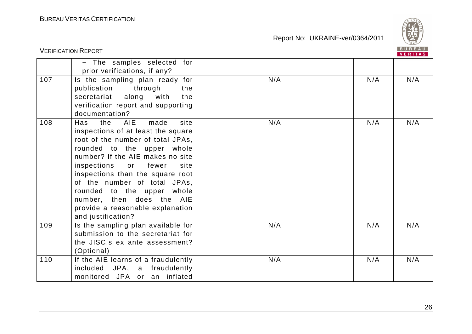

|     | <b>VERIFICATION REPORT</b>                                                                                                                                                                                                                                                                                                                                                                                                                 |            | BUREAU<br><b>VERITAS</b> |
|-----|--------------------------------------------------------------------------------------------------------------------------------------------------------------------------------------------------------------------------------------------------------------------------------------------------------------------------------------------------------------------------------------------------------------------------------------------|------------|--------------------------|
|     | - The samples selected for<br>prior verifications, if any?                                                                                                                                                                                                                                                                                                                                                                                 |            |                          |
| 107 | Is the sampling plan ready for<br>publication through<br>the<br>secretariat along<br>with<br>the<br>verification report and supporting<br>documentation?                                                                                                                                                                                                                                                                                   | N/A<br>N/A | N/A                      |
| 108 | the<br><b>AIE</b><br>made<br>site<br>Has<br>inspections of at least the square<br>root of the number of total JPAs,<br>rounded to the upper whole<br>number? If the AIE makes no site<br>inspections<br>fewer<br>$\overline{\mathsf{or}}$<br>site<br>inspections than the square root<br>of the number of total JPAs,<br>rounded to the upper whole<br>number, then does the AIE<br>provide a reasonable explanation<br>and justification? | N/A<br>N/A | N/A                      |
| 109 | Is the sampling plan available for<br>submission to the secretariat for<br>the JISC.s ex ante assessment?<br>(Optional)                                                                                                                                                                                                                                                                                                                    | N/A<br>N/A | N/A                      |
| 110 | If the AIE learns of a fraudulently<br>included JPA, a fraudulently<br>monitored JPA or an inflated                                                                                                                                                                                                                                                                                                                                        | N/A<br>N/A | N/A                      |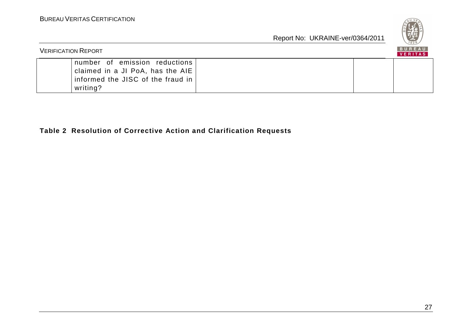

| <b>VERIFICATION REPORT</b>                                                                                         |  | B U K E A U<br><b>VERITAS</b> |  |
|--------------------------------------------------------------------------------------------------------------------|--|-------------------------------|--|
| number of emission reductions<br>claimed in a JI PoA, has the AIE<br>informed the JISC of the fraud in<br>writing? |  |                               |  |

# **Table 2 Resolution of Corrective Action and Clarification Requests**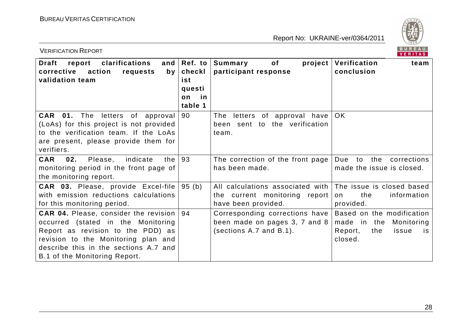

| <b>VERIFICATION REPORT</b>                                                                                                                                                                                                               |                                                           |                                                                                              | BUREAU<br>VERITAS                                                                                  |
|------------------------------------------------------------------------------------------------------------------------------------------------------------------------------------------------------------------------------------------|-----------------------------------------------------------|----------------------------------------------------------------------------------------------|----------------------------------------------------------------------------------------------------|
| <b>Draft</b><br>clarifications<br>report<br>and $\vert$<br>corrective<br>action<br>requests<br>by<br>validation team                                                                                                                     | Ref. to<br>checkl<br>ist<br>questi<br>in<br>on<br>table 1 | Summary<br>project  <br>of<br>participant response                                           | Verification<br>team<br>conclusion                                                                 |
| CAR 01.<br>The letters of approval<br>(LoAs) for this project is not provided<br>to the verification team. If the LoAs<br>are present, please provide them for<br>verifiers.                                                             | 90                                                        | letters of approval have<br>The<br>been sent to the verification<br>team.                    | <b>OK</b>                                                                                          |
| 02.<br><b>CAR</b><br>Please,<br>indicate<br>the<br>monitoring period in the front page of<br>the monitoring report.                                                                                                                      | 93                                                        | The correction of the front page<br>has been made.                                           | Due<br>the<br>to<br>corrections<br>made the issue is closed.                                       |
| CAR 03. Please, provide Excel-file<br>with emission reductions calculations<br>for this monitoring period.                                                                                                                               | 95(b)                                                     | All calculations associated with  <br>the current monitoring report<br>have been provided.   | The issue is closed based<br>the<br>information<br>on<br>provided.                                 |
| <b>CAR 04.</b> Please, consider the revision<br>occurred (stated in the Monitoring<br>Report as revision to the PDD) as<br>revision to the Monitoring plan and<br>describe this in the sections A.7 and<br>B.1 of the Monitoring Report. | 94                                                        | Corresponding corrections have  <br>been made on pages 3, 7 and 8<br>(sections A.7 and B.1). | Based on the modification<br>made in the<br>Monitoring<br>Report,<br>the<br>issue<br>is<br>closed. |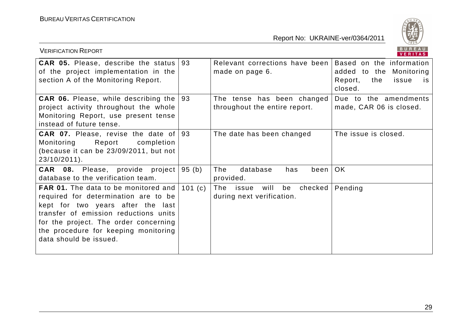

| <b>VERIFICATION REPORT</b>                                                                                                                                                                                                                                                   |        |                                                                    | BUREAU<br>VERITAS                                                                                         |
|------------------------------------------------------------------------------------------------------------------------------------------------------------------------------------------------------------------------------------------------------------------------------|--------|--------------------------------------------------------------------|-----------------------------------------------------------------------------------------------------------|
| <b>CAR 05.</b> Please, describe the status<br>of the project implementation in the<br>section A of the Monitoring Report.                                                                                                                                                    | 93     | Relevant corrections have been<br>made on page 6.                  | Based on the information<br>Monitoring<br>added to the<br>Report,<br>the<br>issue<br><b>is</b><br>closed. |
| <b>CAR 06.</b> Please, while describing the<br>project activity throughout the whole<br>Monitoring Report, use present tense<br>instead of future tense.                                                                                                                     | 93     | The tense has been changed<br>throughout the entire report.        | Due to the amendments<br>made, CAR 06 is closed.                                                          |
| <b>CAR 07.</b> Please, revise the date of<br>Report<br>Monitoring<br>completion<br>(because it can be 23/09/2011, but not<br>23/10/2011).                                                                                                                                    | 93     | The date has been changed                                          | The issue is closed.                                                                                      |
| <b>CAR 08.</b> Please, provide project<br>database to the verification team.                                                                                                                                                                                                 | 95 (b) | The<br>database<br>has<br>been<br>provided.                        | OK.                                                                                                       |
| <b>FAR 01.</b> The data to be monitored and<br>required for determination are to be<br>kept for two years after the last<br>transfer of emission reductions units<br>for the project. The order concerning<br>the procedure for keeping monitoring<br>data should be issued. | 101(c) | checked<br>The<br>will<br>be<br>issue<br>during next verification. | Pending                                                                                                   |